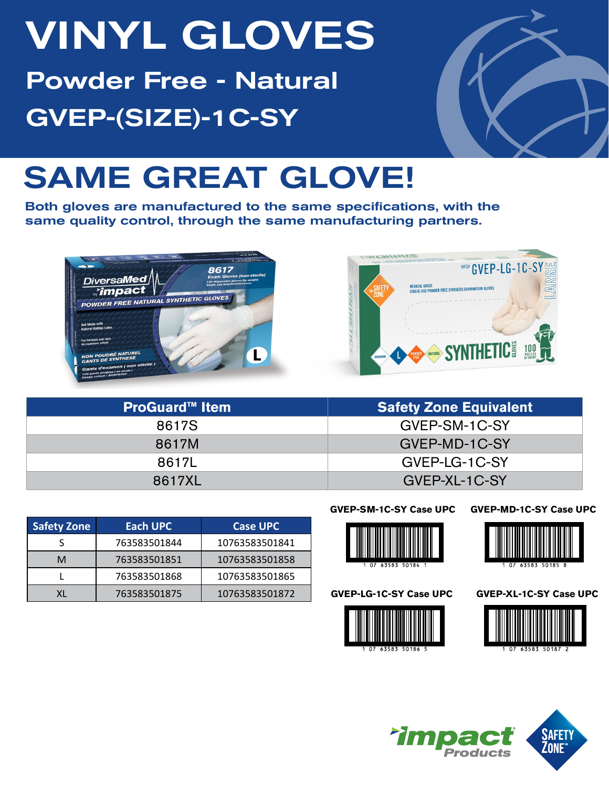# VINYL GLOVES Powder Free - Natural GVEP-(SIZE)-1C-SY



## SAME GREAT GLOVE!

Both gloves are manufactured to the same specifications, with the same quality control, through the same manufacturing partners.





| <b>ProGuard™ Item</b> | <b>Safety Zone Equivalent</b> |
|-----------------------|-------------------------------|
| 8617S                 | GVEP-SM-1C-SY                 |
| 8617M                 | GVEP-MD-1C-SY                 |
| 86171                 | GVEP-LG-1C-SY                 |
| 8617XL                | GVEP-XL-1C-SY                 |

| <b>Safety Zone</b> | Each UPC     | <b>Case UPC</b> |
|--------------------|--------------|-----------------|
|                    | 763583501844 | 10763583501841  |
| м                  | 763583501851 | 10763583501858  |
|                    | 763583501868 | 10763583501865  |
|                    | 763583501875 | 10763583501872  |

#### **GVEP-SM-1C-SY Case UPC**

#### **GVEP-MD-1C-SY Case UPC**



**GVEP-LG-1C-SY Case UPC**





**GVEP-XL-1C-SY Case UPC**